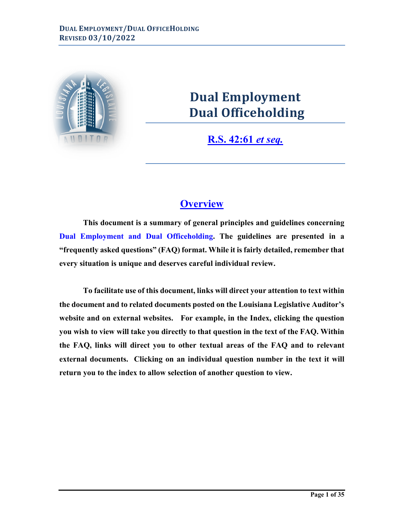

# **Dual Employment Dual Officeholding**

**[R.S. 42:61](http://www.legis.la.gov/Legis/Law.aspx?d=99495)** *et seq.*

# **Overview**

**This document is a summary of general principles and guidelines concerning Dual Employment and Dual Officeholding. The guidelines are presented in a "frequently asked questions" (FAQ) format. While it is fairly detailed, remember that every situation is unique and deserves careful individual review.** 

**To facilitate use of this document, links will direct your attention to text within the document and to related documents posted on the Louisiana Legislative Auditor's website and on external websites. For example, in the Index, clicking the question you wish to view will take you directly to that question in the text of the FAQ. Within the FAQ, links will direct you to other textual areas of the FAQ and to relevant external documents. Clicking on an individual question number in the text it will return you to the index to allow selection of another question to view.**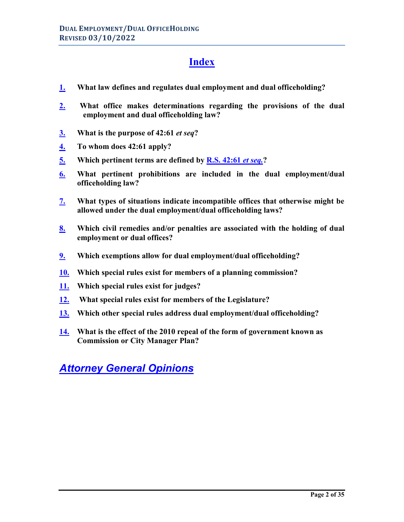# **Index**

- <span id="page-1-0"></span>**[1.](#page-2-0) What law defines and regulates dual employment and dual officeholding?**
- **[2.](#page-2-1) What office makes determinations regarding the provisions of the dual employment and dual officeholding law?**
- **[3.](#page-2-2) What is the purpose of 42:61** *et seq***?**
- **[4.](#page-2-3) To whom does 42:61 apply?**
- **[5.](#page-3-0) Which pertinent terms are defined by [R.S. 42:61](http://www.legis.la.gov/Legis/Law.aspx?d=99495)** *et seq.***?**
- **[6.](#page-4-0) What pertinent prohibitions are included in the dual employment/dual officeholding law?**
- **[7.](#page-6-0) What types of situations indicate incompatible offices that otherwise might be allowed under the dual employment/dual officeholding laws?**
- **[8.](#page-7-0) Which civil remedies and/or penalties are associated with the holding of dual employment or dual offices?**
- **[9.](#page-9-0) Which exemptions allow for dual employment/dual officeholding?**
- **[10.](#page-11-0) Which special rules exist for members of a planning commission?**
- **[11.](#page-12-0) Which special rules exist for judges?**
- **[12.](#page-13-0) What special rules exist for members of the Legislature?**
- **[13.](#page-13-1) Which other special rules address dual employment/dual officeholding?**
- **[14.](#page-13-2) What is the effect of the 2010 repeal of the form of government known as Commission or City Manager Plan?**

*[Attorney General Opinions](#page-14-0)*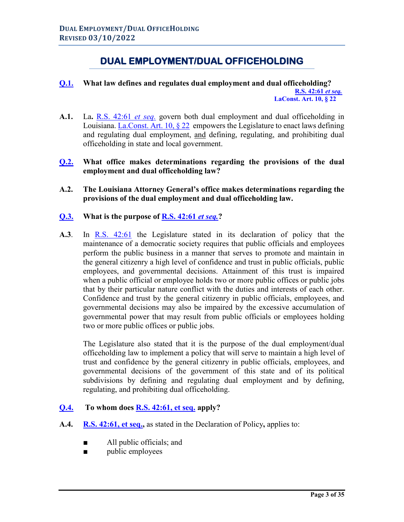# **DUAL EMPLOYMENT/DUAL OFFICEHOLDING**

- <span id="page-2-0"></span>**[Q.1.](#page-1-0) What law defines and regulates dual employment and dual officeholding? [R.S. 42:61](http://www.legis.la.gov/Legis/Law.aspx?d=99495)** *et seq.*  **[LaConst. Art. 10, § 22](http://www.legis.la.gov/Legis/Law.aspx?d=206314)**
- **A.1.** La**.** [R.S. 42:61](http://www.legis.la.gov/Legis/Law.aspx?d=99495) *et seq.* govern both dual employment and dual officeholding in Louisiana. La. Const. Art. 10,  $\S 22$  empowers the Legislature to enact laws defining and regulating dual employment, and defining, regulating, and prohibiting dual officeholding in state and local government.
- <span id="page-2-1"></span>**[Q.2.](#page-1-0) What office makes determinations regarding the provisions of the dual employment and dual officeholding law?**
- **A.2. The Louisiana Attorney General's office makes determinations regarding the provisions of the dual employment and dual officeholding law.**
- <span id="page-2-2"></span>**[Q.3.](#page-1-0) What is the purpose of [R.S. 42:61](http://www.legis.la.gov/Legis/Law.aspx?d=99495)** *et seq.***?**
- **A.3**. In R.S. [42:61](http://www.legis.la.gov/Legis/Law.aspx?d=99495) the Legislature stated in its declaration of policy that the maintenance of a democratic society requires that public officials and employees perform the public business in a manner that serves to promote and maintain in the general citizenry a high level of confidence and trust in public officials, public employees, and governmental decisions. Attainment of this trust is impaired when a public official or employee holds two or more public offices or public jobs that by their particular nature conflict with the duties and interests of each other. Confidence and trust by the general citizenry in public officials, employees, and governmental decisions may also be impaired by the excessive accumulation of governmental power that may result from public officials or employees holding two or more public offices or public jobs.

The Legislature also stated that it is the purpose of the dual employment/dual officeholding law to implement a policy that will serve to maintain a high level of trust and confidence by the general citizenry in public officials, employees, and governmental decisions of the government of this state and of its political subdivisions by defining and regulating dual employment and by defining, regulating, and prohibiting dual officeholding.

# <span id="page-2-3"></span>**[Q.4.](#page-1-0) To whom does R.S. 42:61, et seq. apply?**

- **A.4. [R.S. 42:61,](http://www.legis.la.gov/Legis/Law.aspx?d=99495) et seq.,** as stated in the Declaration of Policy**,** applies to:
	- All public officials; and
	- **public employees**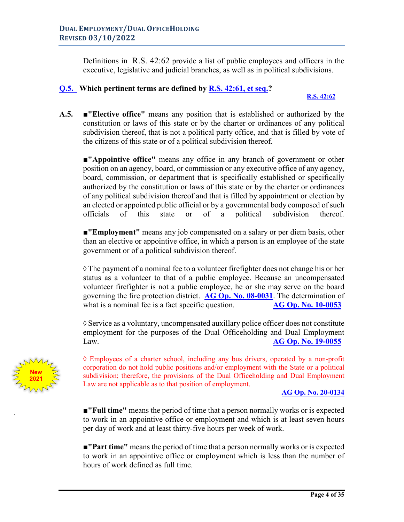Definitions in R.S. 42:62 provide a list of public employees and officers in the executive, legislative and judicial branches, as well as in political subdivisions.

#### <span id="page-3-0"></span>**[Q.5.](#page-1-0) Which pertinent terms are defined by [R.S. 42:61,](http://www.legis.la.gov/Legis/Law.aspx?p=y&d=99495) et seq.?**

#### **[R.S. 42:62](http://www.legis.la.gov/Legis/Law.aspx?d=99496)**

**A.5.** ■**"Elective office"** means any position that is established or authorized by the constitution or laws of this state or by the charter or ordinances of any political subdivision thereof, that is not a political party office, and that is filled by vote of the citizens of this state or of a political subdivision thereof.

■**"Appointive office"** means any office in any branch of government or other position on an agency, board, or commission or any executive office of any agency, board, commission, or department that is specifically established or specifically authorized by the constitution or laws of this state or by the charter or ordinances of any political subdivision thereof and that is filled by appointment or election by an elected or appointed public official or by a governmental body composed of such officials of this state or of a political subdivision thereof.

■**"Employment"** means any job compensated on a salary or per diem basis, other than an elective or appointive office, in which a person is an employee of the state government or of a political subdivision thereof.

**◊** The payment of a nominal fee to a volunteer firefighter does not change his or her status as a volunteer to that of a public employee. Because an uncompensated volunteer firefighter is not a public employee, he or she may serve on the board governing the fire protection district. **[AG Op. No. 08-0031](https://links.lla.la.gov/go.nsf/getAGO?OpenAgent&agokey=08-0031)**. The determination of what is a nominal fee is a fact specific question. **[AG Op. No. 10-0053](https://links.lla.la.gov/go.nsf/getAGO?OpenAgent&agokey=10-0053)** 

**◊** Service as a voluntary, uncompensated auxillary police officer does not constitute employment for the purposes of the Dual Officeholding and Dual Employment Law. **[AG Op. No. 19-0055](https://links.lla.la.gov/go.nsf/getAGO?OpenAgent&agokey=19-0055)**

◊ Employees of a charter school, including any bus drivers, operated by a non-profit corporation do not hold public positions and/or employment with the State or a political subdivision; therefore, the provisions of the Dual Officeholding and Dual Employment Law are not applicable as to that position of employment.

**[AG Op. No. 20-0134](https://links.lla.la.gov/go.nsf/getAGO?OpenAgent&agokey=20-0134)**

■**"Full time"** means the period of time that a person normally works or is expected to work in an appointive office or employment and which is at least seven hours per day of work and at least thirty-five hours per week of work.

■**"Part time"** means the period of time that a person normally works or is expected to work in an appointive office or employment which is less than the number of hours of work defined as full time.

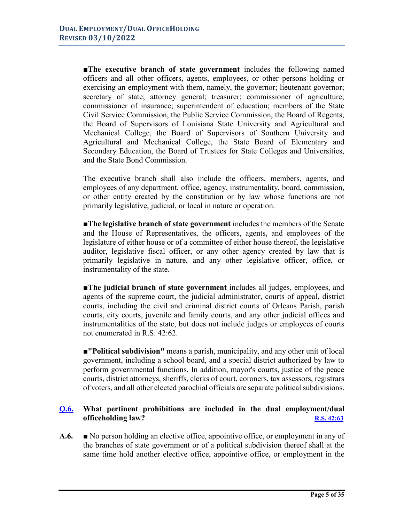■**The executive branch of state government** includes the following named officers and all other officers, agents, employees, or other persons holding or exercising an employment with them, namely, the governor; lieutenant governor; secretary of state; attorney general; treasurer; commissioner of agriculture; commissioner of insurance; superintendent of education; members of the State Civil Service Commission, the Public Service Commission, the Board of Regents, the Board of Supervisors of Louisiana State University and Agricultural and Mechanical College, the Board of Supervisors of Southern University and Agricultural and Mechanical College, the State Board of Elementary and Secondary Education, the Board of Trustees for State Colleges and Universities, and the State Bond Commission.

The executive branch shall also include the officers, members, agents, and employees of any department, office, agency, instrumentality, board, commission, or other entity created by the constitution or by law whose functions are not primarily legislative, judicial, or local in nature or operation.

■**The legislative branch of state government** includes the members of the Senate and the House of Representatives, the officers, agents, and employees of the legislature of either house or of a committee of either house thereof, the legislative auditor, legislative fiscal officer, or any other agency created by law that is primarily legislative in nature, and any other legislative officer, office, or instrumentality of the state.

■**The judicial branch of state government** includes all judges, employees, and agents of the supreme court, the judicial administrator, courts of appeal, district courts, including the civil and criminal district courts of Orleans Parish, parish courts, city courts, juvenile and family courts, and any other judicial offices and instrumentalities of the state, but does not include judges or employees of courts not enumerated in R.S. 42:62.

■**"Political subdivision"** means a parish, municipality, and any other unit of local government, including a school board, and a special district authorized by law to perform governmental functions. In addition, mayor's courts, justice of the peace courts, district attorneys, sheriffs, clerks of court, coroners, tax assessors, registrars of voters, and all other elected parochial officials are separate political subdivisions.

#### <span id="page-4-0"></span>**[Q.6.](#page-1-0) What pertinent prohibitions are included in the dual employment/dual officeholding law? [R.S. 42:63](http://www.legis.la.gov/Legis/Law.aspx?d=99497)**

**A.6.** ■ No person holding an elective office, appointive office, or employment in any of the branches of state government or of a political subdivision thereof shall at the same time hold another elective office, appointive office, or employment in the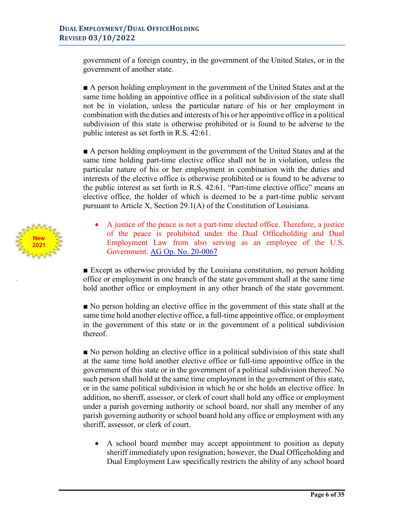government of a foreign country, in the government of the United States, or in the government of another state.

■ A person holding employment in the government of the United States and at the same time holding an appointive office in a political subdivision of the state shall not be in violation, unless the particular nature of his or her employment in combination with the duties and interests of his or her appointive office in a political subdivision of this state is otherwise prohibited or is found to be adverse to the public interest as set forth in R.S. 42:61.

■ A person holding employment in the government of the United States and at the same time holding part-time elective office shall not be in violation, unless the particular nature of his or her employment in combination with the duties and interests of the elective office is otherwise prohibited or is found to be adverse to the public interest as set forth in R.S. 42:61. "Part-time elective office" means an elective office, the holder of which is deemed to be a part-time public servant pursuant to Article X, Section 29.1(A) of the Constitution of Louisiana.

• A justice of the peace is not a part-time elected office. Therefore, a justice of the peace is prohibited under the Dual Officeholding and Dual Employment Law from also serving as an employee of the U.S. Government. [AG Op. No. 20](https://links.lla.la.gov/go.nsf/getAGO?OpenAgent&agokey=20-0067)-0067

■ Except as otherwise provided by the Louisiana constitution, no person holding office or employment in one branch of the state government shall at the same time hold another office or employment in any other branch of the state government.

■ No person holding an elective office in the government of this state shall at the same time hold another elective office, a full-time appointive office, or employment in the government of this state or in the government of a political subdivision thereof.

■ No person holding an elective office in a political subdivision of this state shall at the same time hold another elective office or full-time appointive office in the government of this state or in the government of a political subdivision thereof. No such person shall hold at the same time employment in the government of this state, or in the same political subdivision in which he or she holds an elective office. In addition, no sheriff, assessor, or clerk of court shall hold any office or employment under a parish governing authority or school board, nor shall any member of any parish governing authority or school board hold any office or employment with any sheriff, assessor, or clerk of court.

• A school board member may accept appointment to position as deputy sheriff immediately upon resignation; however, the Dual Officeholding and Dual Employment Law specifically restricts the ability of any school board

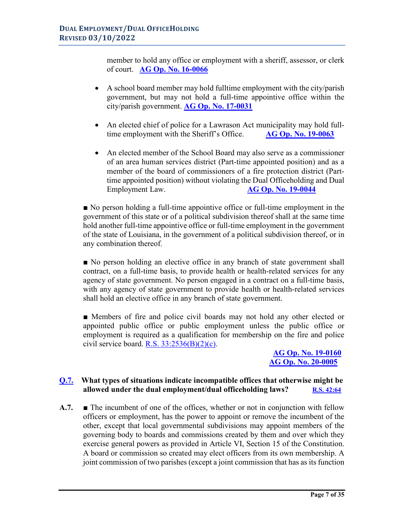member to hold any office or employment with a sheriff, assessor, or clerk of court. **[AG Op. No. 16-0066](https://links.lla.la.gov/go.nsf/getAGO?OpenAgent&agokey=16-0066)**

- A school board member may hold fulltime employment with the city/parish government, but may not hold a full-time appointive office within the city/parish government. **[AG Op. No. 17-0031](https://links.lla.la.gov/go.nsf/getAGO?OpenAgent&agokey=17-0031)**
- An elected chief of police for a Lawrason Act municipality may hold fulltime employment with the Sheriff's Office. **[AG Op. No. 19-0063](https://links.lla.la.gov/go.nsf/getAGO?OpenAgent&agokey=19-0063)**
- An elected member of the School Board may also serve as a commissioner of an area human services district (Part-time appointed position) and as a member of the board of commissioners of a fire protection district (Parttime appointed position) without violating the Dual Officeholding and Dual Employment Law. **[AG Op. No. 19-0044](https://links.lla.la.gov/go.nsf/getAGO?OpenAgent&agokey=19-0044)**

■ No person holding a full-time appointive office or full-time employment in the government of this state or of a political subdivision thereof shall at the same time hold another full-time appointive office or full-time employment in the government of the state of Louisiana, in the government of a political subdivision thereof, or in any combination thereof.

■ No person holding an elective office in any branch of state government shall contract, on a full-time basis, to provide health or health-related services for any agency of state government. No person engaged in a contract on a full-time basis, with any agency of state government to provide health or health-related services shall hold an elective office in any branch of state government.

■ Members of fire and police civil boards may not hold any other elected or appointed public office or public employment unless the public office or employment is required as a qualification for membership on the fire and police civil service board. R.S.  $33:2536(B)(2)(c)$ .

**[AG Op. No. 19-0160](https://links.lla.la.gov/go.nsf/getAGO?OpenAgent&agokey=19-0160) [AG Op. No. 20-0005](https://links.lla.la.gov/go.nsf/getAGO?OpenAgent&agokey=20-0005)**

#### <span id="page-6-0"></span>**[Q.7.](#page-1-0) What types of situations indicate incompatible offices that otherwise might be allowed under the dual employment/dual officeholding laws? [R.S. 42:64](http://www.legis.la.gov/Legis/Law.aspx?d=99498)**

**A.7.** ■ The incumbent of one of the offices, whether or not in conjunction with fellow officers or employment, has the power to appoint or remove the incumbent of the other, except that local governmental subdivisions may appoint members of the governing body to boards and commissions created by them and over which they exercise general powers as provided in Article VI, Section 15 of the Constitution. A board or commission so created may elect officers from its own membership. A joint commission of two parishes (except a joint commission that has as its function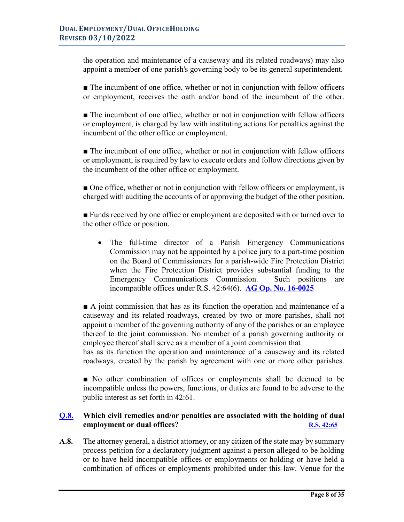the operation and maintenance of a causeway and its related roadways) may also appoint a member of one parish's governing body to be its general superintendent.

■ The incumbent of one office, whether or not in conjunction with fellow officers or employment, receives the oath and/or bond of the incumbent of the other.

■ The incumbent of one office, whether or not in conjunction with fellow officers or employment, is charged by law with instituting actions for penalties against the incumbent of the other office or employment.

■ The incumbent of one office, whether or not in conjunction with fellow officers or employment, is required by law to execute orders and follow directions given by the incumbent of the other office or employment.

■ One office, whether or not in conjunction with fellow officers or employment, is charged with auditing the accounts of or approving the budget of the other position.

■ Funds received by one office or employment are deposited with or turned over to the other office or position.

• The full-time director of a Parish Emergency Communications Commission may not be appointed by a police jury to a part-time position on the Board of Commissioners for a parish-wide Fire Protection District when the Fire Protection District provides substantial funding to the Emergency Communications Commission. Such positions are incompatible offices under R.S. 42:64(6). **[AG Op. No.](https://links.lla.la.gov/go.nsf/getAGO?OpenAgent&agokey=16-0025) 16-0025**

■ A joint commission that has as its function the operation and maintenance of a causeway and its related roadways, created by two or more parishes, shall not appoint a member of the governing authority of any of the parishes or an employee thereof to the joint commission. No member of a parish governing authority or employee thereof shall serve as a member of a joint commission that

has as its function the operation and maintenance of a causeway and its related roadways, created by the parish by agreement with one or more other parishes.

■ No other combination of offices or employments shall be deemed to be incompatible unless the powers, functions, or duties are found to be adverse to the public interest as set forth in 42:61.

#### <span id="page-7-0"></span>**[Q.8.](#page-1-0) Which civil remedies and/or penalties are associated with the holding of dual employment or dual offices? [R.S. 42:65](http://www.legis.la.gov/Legis/Law.aspx?d=99499)**

**A.8.** The attorney general, a district attorney, or any citizen of the state may by summary process petition for a declaratory judgment against a person alleged to be holding or to have held incompatible offices or employments or holding or have held a combination of offices or employments prohibited under this law. Venue for the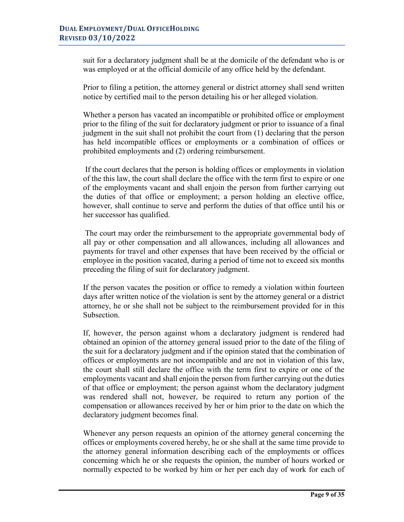suit for a declaratory judgment shall be at the domicile of the defendant who is or was employed or at the official domicile of any office held by the defendant.

Prior to filing a petition, the attorney general or district attorney shall send written notice by certified mail to the person detailing his or her alleged violation.

Whether a person has vacated an incompatible or prohibited office or employment prior to the filing of the suit for declaratory judgment or prior to issuance of a final judgment in the suit shall not prohibit the court from (1) declaring that the person has held incompatible offices or employments or a combination of offices or prohibited employments and (2) ordering reimbursement.

If the court declares that the person is holding offices or employments in violation of the this law, the court shall declare the office with the term first to expire or one of the employments vacant and shall enjoin the person from further carrying out the duties of that office or employment; a person holding an elective office, however, shall continue to serve and perform the duties of that office until his or her successor has qualified.

The court may order the reimbursement to the appropriate governmental body of all pay or other compensation and all allowances, including all allowances and payments for travel and other expenses that have been received by the official or employee in the position vacated, during a period of time not to exceed six months preceding the filing of suit for declaratory judgment.

If the person vacates the position or office to remedy a violation within fourteen days after written notice of the violation is sent by the attorney general or a district attorney, he or she shall not be subject to the reimbursement provided for in this Subsection.

If, however, the person against whom a declaratory judgment is rendered had obtained an opinion of the attorney general issued prior to the date of the filing of the suit for a declaratory judgment and if the opinion stated that the combination of offices or employments are not incompatible and are not in violation of this law, the court shall still declare the office with the term first to expire or one of the employments vacant and shall enjoin the person from further carrying out the duties of that office or employment; the person against whom the declaratory judgment was rendered shall not, however, be required to return any portion of the compensation or allowances received by her or him prior to the date on which the declaratory judgment becomes final.

Whenever any person requests an opinion of the attorney general concerning the offices or employments covered hereby, he or she shall at the same time provide to the attorney general information describing each of the employments or offices concerning which he or she requests the opinion, the number of hours worked or normally expected to be worked by him or her per each day of work for each of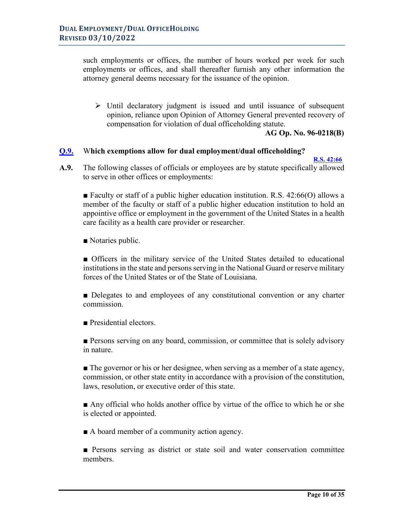such employments or offices, the number of hours worked per week for such employments or offices, and shall thereafter furnish any other information the attorney general deems necessary for the issuance of the opinion.

 $\triangleright$  Until declaratory judgment is issued and until issuance of subsequent opinion, reliance upon Opinion of Attorney General prevented recovery of compensation for violation of dual officeholding statute.

#### **AG Op. No. 96-0218(B)**

#### <span id="page-9-0"></span>**[Q.9.](#page-1-0)** W**hich exemptions allow for dual employment/dual officeholding?**

 **[R.S. 42:66](http://www.legis.la.gov/Legis/Law.aspx?d=99500)** 

**A.9.** The following classes of officials or employees are by statute specifically allowed to serve in other offices or employments:

■ Faculty or staff of a public higher education institution. R.S. 42:66(O) allows a member of the faculty or staff of a public higher education institution to hold an appointive office or employment in the government of the United States in a health care facility as a health care provider or researcher.

■ Notaries public.

■ Officers in the military service of the United States detailed to educational institutions in the state and persons serving in the National Guard or reserve military forces of the United States or of the State of Louisiana.

■ Delegates to and employees of any constitutional convention or any charter commission.

■ Presidential electors.

■ Persons serving on any board, commission, or committee that is solely advisory in nature.

■ The governor or his or her designee, when serving as a member of a state agency, commission, or other state entity in accordance with a provision of the constitution, laws, resolution, or executive order of this state.

■ Any official who holds another office by virtue of the office to which he or she is elected or appointed.

■ A board member of a community action agency.

■ Persons serving as district or state soil and water conservation committee members.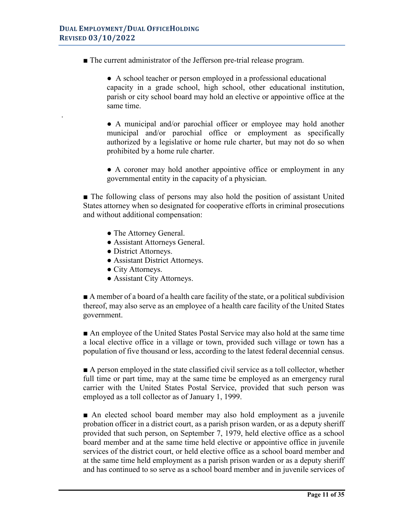.

■ The current administrator of the Jefferson pre-trial release program.

● A school teacher or person employed in a professional educational capacity in a grade school, high school, other educational institution, parish or city school board may hold an elective or appointive office at the same time.

● A municipal and/or parochial officer or employee may hold another municipal and/or parochial office or employment as specifically authorized by a legislative or home rule charter, but may not do so when prohibited by a home rule charter.

• A coroner may hold another appointive office or employment in any governmental entity in the capacity of a physician.

■ The following class of persons may also hold the position of assistant United States attorney when so designated for cooperative efforts in criminal prosecutions and without additional compensation:

- The Attorney General.
- Assistant Attorneys General.
- District Attorneys.
- Assistant District Attorneys.
- City Attorneys.
- Assistant City Attorneys.

■ A member of a board of a health care facility of the state, or a political subdivision thereof, may also serve as an employee of a health care facility of the United States government.

■ An employee of the United States Postal Service may also hold at the same time a local elective office in a village or town, provided such village or town has a population of five thousand or less, according to the latest federal decennial census.

■ A person employed in the state classified civil service as a toll collector, whether full time or part time, may at the same time be employed as an emergency rural carrier with the United States Postal Service, provided that such person was employed as a toll collector as of January 1, 1999.

■ An elected school board member may also hold employment as a juvenile probation officer in a district court, as a parish prison warden, or as a deputy sheriff provided that such person, on September 7, 1979, held elective office as a school board member and at the same time held elective or appointive office in juvenile services of the district court, or held elective office as a school board member and at the same time held employment as a parish prison warden or as a deputy sheriff and has continued to so serve as a school board member and in juvenile services of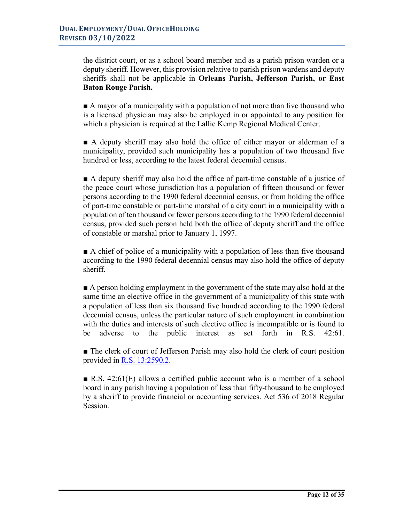the district court, or as a school board member and as a parish prison warden or a deputy sheriff. However, this provision relative to parish prison wardens and deputy sheriffs shall not be applicable in **Orleans Parish, Jefferson Parish, or East Baton Rouge Parish.**

 $\blacksquare$  A mayor of a municipality with a population of not more than five thousand who is a licensed physician may also be employed in or appointed to any position for which a physician is required at the Lallie Kemp Regional Medical Center.

■ A deputy sheriff may also hold the office of either mayor or alderman of a municipality, provided such municipality has a population of two thousand five hundred or less, according to the latest federal decennial census.

■ A deputy sheriff may also hold the office of part-time constable of a justice of the peace court whose jurisdiction has a population of fifteen thousand or fewer persons according to the 1990 federal decennial census, or from holding the office of part-time constable or part-time marshal of a city court in a municipality with a population of ten thousand or fewer persons according to the 1990 federal decennial census, provided such person held both the office of deputy sheriff and the office of constable or marshal prior to January 1, 1997.

■ A chief of police of a municipality with a population of less than five thousand according to the 1990 federal decennial census may also hold the office of deputy sheriff.

■ A person holding employment in the government of the state may also hold at the same time an elective office in the government of a municipality of this state with a population of less than six thousand five hundred according to the 1990 federal decennial census, unless the particular nature of such employment in combination with the duties and interests of such elective office is incompatible or is found to be adverse to the public interest as set forth in R.S. 42:61.

■ The clerk of court of Jefferson Parish may also hold the clerk of court position provided in [R.S. 13:2590.2.](http://www.legis.la.gov/Legis/Law.aspx?d=77381)

<span id="page-11-0"></span> $\blacksquare$  R.S. 42:61(E) allows a certified public account who is a member of a school board in any parish having a population of less than fifty-thousand to be employed by a sheriff to provide financial or accounting services. Act 536 of 2018 Regular Session.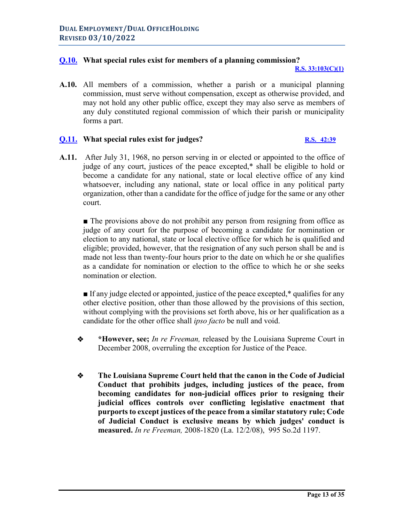#### **[Q.10.](#page-1-0) What special rules exist for members of a planning commission?**

#### **[R.S. 33:103\(C\)\(1\)](http://www.legis.la.gov/Legis/Law.aspx?d=88649)**

**A.10.** All members of a commission, whether a parish or a municipal planning commission, must serve without compensation, except as otherwise provided, and may not hold any other public office, except they may also serve as members of any duly constituted regional commission of which their parish or municipality forms a part.

#### <span id="page-12-0"></span>**[Q.11.](#page-1-0) What special rules exist for judges? [R.S. 42:39](http://www.legis.la.gov/Legis/Law.aspx?d=99432)**

#### **A.11.** After July 31, 1968, no person serving in or elected or appointed to the office of judge of any court, justices of the peace excepted,\* shall be eligible to hold or become a candidate for any national, state or local elective office of any kind whatsoever, including any national, state or local office in any political party organization, other than a candidate for the office of judge for the same or any other court.

■ The provisions above do not prohibit any person from resigning from office as judge of any court for the purpose of becoming a candidate for nomination or election to any national, state or local elective office for which he is qualified and eligible; provided, however, that the resignation of any such person shall be and is made not less than twenty-four hours prior to the date on which he or she qualifies as a candidate for nomination or election to the office to which he or she seeks nomination or election.

■ If any judge elected or appointed, justice of the peace excepted,<sup>\*</sup> qualifies for any other elective position, other than those allowed by the provisions of this section, without complying with the provisions set forth above, his or her qualification as a candidate for the other office shall *ipso facto* be null and void.

- **\*However, see;** *In re Freeman,* released by the Louisiana Supreme Court in December 2008, overruling the exception for Justice of the Peace.
- **The Louisiana Supreme Court held that the canon in the Code of Judicial Conduct that prohibits judges, including justices of the peace, from becoming candidates for non-judicial offices prior to resigning their judicial offices controls over conflicting legislative enactment that purports to except justices of the peace from a similar statutory rule; Code of Judicial Conduct is exclusive means by which judges' conduct is measured.** *In re Freeman,* 2008-1820 (La. 12/2/08), 995 So.2d 1197.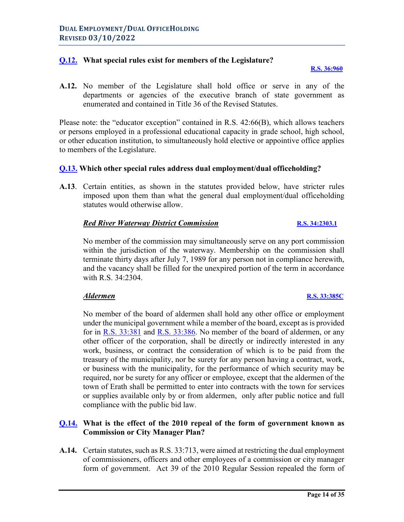#### <span id="page-13-0"></span>**[Q.12.](#page-1-0) What special rules exist for members of the Legislature?**

#### **[R.S. 36:960](http://www.legis.la.gov/Legis/Law.aspx?d=92979)**

**A.12.** No member of the Legislature shall hold office or serve in any of the departments or agencies of the executive branch of state government as enumerated and contained in Title 36 of the Revised Statutes.

Please note: the "educator exception" contained in R.S. 42:66(B), which allows teachers or persons employed in a professional educational capacity in grade school, high school, or other education institution, to simultaneously hold elective or appointive office applies to members of the Legislature.

#### <span id="page-13-1"></span>**[Q.13.](#page-1-0) Which other special rules address dual employment/dual officeholding?**

**A.13**. Certain entities, as shown in the statutes provided below, have stricter rules imposed upon them than what the general dual employment/dual officeholding statutes would otherwise allow.

#### *Red River Waterway District Commission* **[R.S. 34:2303.1](http://www.legis.la.gov/Legis/Law.aspx?d=92059)**

No member of the commission may simultaneously serve on any port commission within the jurisdiction of the waterway. Membership on the commission shall terminate thirty days after July 7, 1989 for any person not in compliance herewith, and the vacancy shall be filled for the unexpired portion of the term in accordance with R.S. 34:2304.

No member of the board of aldermen shall hold any other office or employment under the municipal government while a member of the board, except as is provided for in [R.S. 33:381](http://www.legis.la.gov/Legis/Law.aspx?p=y&d=90347) and [R.S. 33:386](http://www.legis.la.gov/Legis/Law.aspx?d=90395). No member of the board of aldermen, or any other officer of the corporation, shall be directly or indirectly interested in any work, business, or contract the consideration of which is to be paid from the treasury of the municipality, nor be surety for any person having a contract, work, or business with the municipality, for the performance of which security may be required, nor be surety for any officer or employee, except that the aldermen of the town of Erath shall be permitted to enter into contracts with the town for services or supplies available only by or from aldermen, only after public notice and full compliance with the public bid law.

#### <span id="page-13-2"></span>**[Q.14.](#page-1-0) What is the effect of the 2010 repeal of the form of government known as Commission or City Manager Plan?**

**A.14.** Certain statutes, such as R.S. 33:713, were aimed at restricting the dual employment of commissioners, officers and other employees of a commission or city manager form of government. Act 39 of the 2010 Regular Session repealed the form of

#### *Aldermen* **[R.S. 33:385C](http://www.legis.la.gov/Legis/Law.aspx?d=90393)**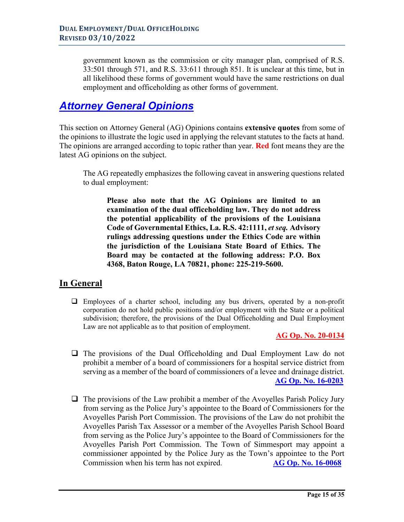government known as the commission or city manager plan, comprised of R.S. 33:501 through 571, and R.S. 33:611 through 851. It is unclear at this time, but in all likelihood these forms of government would have the same restrictions on dual employment and officeholding as other forms of government.

# <span id="page-14-0"></span>*[Attorney General](#page-1-0) Opinions*

This section on Attorney General (AG) Opinions contains **extensive quotes** from some of the opinions to illustrate the logic used in applying the relevant statutes to the facts at hand. The opinions are arranged according to topic rather than year. **Red** font means they are the latest AG opinions on the subject.

The AG repeatedly emphasizes the following caveat in answering questions related to dual employment:

**Please also note that the AG Opinions are limited to an examination of the dual officeholding law. They do not address the potential applicability of the provisions of the Louisiana Code of Governmental Ethics, La. R.S. 42:1111,** *et seq.* **Advisory rulings addressing questions under the Ethics Code are within the jurisdiction of the Louisiana State Board of Ethics. The Board may be contacted at the following address: P.O. Box 4368, Baton Rouge, LA 70821, phone: 225-219-5600.**

#### **In General**

 Employees of a charter school, including any bus drivers, operated by a non-profit corporation do not hold public positions and/or employment with the State or a political subdivision; therefore, the provisions of the Dual Officeholding and Dual Employment Law are not applicable as to that position of employment.

#### **[AG Op. No. 20-0134](https://links.lla.la.gov/go.nsf/getAGO?OpenAgent&agokey=20-0134)**

- $\Box$  The provisions of the Dual Officeholding and Dual Employment Law do not prohibit a member of a board of commissioners for a hospital service district from serving as a member of the board of commissioners of a levee and drainage district. **[AG Op. No. 16-0203](https://links.lla.la.gov/go.nsf/getAGO?OpenAgent&agokey=16-0203)**
- $\Box$  The provisions of the Law prohibit a member of the Avoyelles Parish Policy Jury from serving as the Police Jury's appointee to the Board of Commissioners for the Avoyelles Parish Port Commission. The provisions of the Law do not prohibit the Avoyelles Parish Tax Assessor or a member of the Avoyelles Parish School Board from serving as the Police Jury's appointee to the Board of Commissioners for the Avoyelles Parish Port Commission. The Town of Simmesport may appoint a commissioner appointed by the Police Jury as the Town's appointee to the Port Commission when his term has not expired. **[AG Op. No. 16-0068](https://links.lla.la.gov/go.nsf/getAGO?OpenAgent&agokey=16-0068)**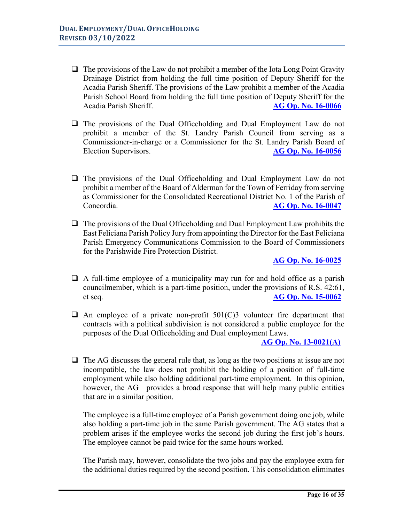- $\Box$  The provisions of the Law do not prohibit a member of the Iota Long Point Gravity Drainage District from holding the full time position of Deputy Sheriff for the Acadia Parish Sheriff. The provisions of the Law prohibit a member of the Acadia Parish School Board from holding the full time position of Deputy Sheriff for the Acadia Parish Sheriff. **[AG Op. No. 16-0066](https://links.lla.la.gov/go.nsf/getAGO?OpenAgent&agokey=16-0066)**
- $\Box$  The provisions of the Dual Officeholding and Dual Employment Law do not prohibit a member of the St. Landry Parish Council from serving as a Commissioner-in-charge or a Commissioner for the St. Landry Parish Board of Election Supervisors. **[AG Op. No. 16-0056](https://links.lla.la.gov/go.nsf/getAGO?OpenAgent&agokey=16-0056)**
- $\Box$  The provisions of the Dual Officeholding and Dual Employment Law do not prohibit a member of the Board of Alderman for the Town of Ferriday from serving as Commissioner for the Consolidated Recreational District No. 1 of the Parish of Concordia. **[AG Op. No. 16-0047](https://links.lla.la.gov/go.nsf/getAGO?OpenAgent&agokey=16-0047)**
- $\Box$  The provisions of the Dual Officeholding and Dual Employment Law prohibits the East Feliciana Parish Policy Jury from appointing the Director for the East Feliciana Parish Emergency Communications Commission to the Board of Commissioners for the Parishwide Fire Protection District.

**[AG Op. No. 16-0025](https://links.lla.la.gov/go.nsf/getAGO?OpenAgent&agokey=16-0025)**

- $\Box$  A full-time employee of a municipality may run for and hold office as a parish councilmember, which is a part-time position, under the provisions of R.S. 42:61, et seq. **[AG Op. No. 15-0062](https://links.lla.la.gov/go.nsf/getAGO?OpenAgent&agokey=15-0062)**
- $\Box$  An employee of a private non-profit 501(C)3 volunteer fire department that contracts with a political subdivision is not considered a public employee for the purposes of the Dual Officeholding and Dual employment Laws.

**[AG Op. No. 13-0021\(A\)](https://links.lla.la.gov/go.nsf/getAGO?OpenAgent&agokey=13-0021A)**

 $\Box$  The AG discusses the general rule that, as long as the two positions at issue are not incompatible, the law does not prohibit the holding of a position of full-time employment while also holding additional part-time employment. In this opinion, however, the AG provides a broad response that will help many public entities that are in a similar position.

The employee is a full-time employee of a Parish government doing one job, while also holding a part-time job in the same Parish government. The AG states that a problem arises if the employee works the second job during the first job's hours. The employee cannot be paid twice for the same hours worked.

The Parish may, however, consolidate the two jobs and pay the employee extra for the additional duties required by the second position. This consolidation eliminates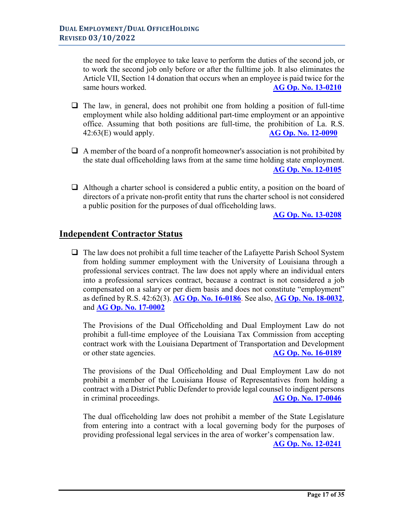the need for the employee to take leave to perform the duties of the second job, or to work the second job only before or after the fulltime job. It also eliminates the Article VII, Section 14 donation that occurs when an employee is paid twice for the same hours worked. **[AG Op. No. 13-0210](https://links.lla.la.gov/go.nsf/getAGO?OpenAgent&agokey=13-0210)** 

- $\Box$  The law, in general, does not prohibit one from holding a position of full-time employment while also holding additional part-time employment or an appointive office. Assuming that both positions are full-time, the prohibition of La. R.S. 42:63(E) would apply. **[AG Op. No. 12-0090](https://links.lla.la.gov/go.nsf/getAGO?OpenAgent&agokey=12-0090)**
- $\Box$  A member of the board of a nonprofit homeowner's association is not prohibited by the state dual officeholding laws from at the same time holding state employment. **[AG Op. No. 12-0105](https://links.lla.la.gov/go.nsf/getAGO?OpenAgent&agokey=12-0105)**
- $\Box$  Although a charter school is considered a public entity, a position on the board of directors of a private non-profit entity that runs the charter school is not considered a public position for the purposes of dual officeholding laws.

**[AG Op. No. 13-0208](https://links.lla.la.gov/go.nsf/getAGO?OpenAgent&agokey=13-0208)**

#### **Independent Contractor Status**

 $\Box$  The law does not prohibit a full time teacher of the Lafayette Parish School System from holding summer employment with the University of Louisiana through a professional services contract. The law does not apply where an individual enters into a professional services contract, because a contract is not considered a job compensated on a salary or per diem basis and does not constitute "employment" as defined by R.S. 42:62(3). **AG Op. No. [16-0186](https://links.lla.la.gov/go.nsf/getAGO?OpenAgent&agokey=16-0186)**. See also, **[AG Op. No. 18-0032](https://links.lla.la.gov/go.nsf/getAGO?OpenAgent&agokey=18-0032)**, and **[AG Op. No. 17-0002](https://links.lla.la.gov/go.nsf/getAGO?OpenAgent&agokey=17-0002)**

The Provisions of the Dual Officeholding and Dual Employment Law do not prohibit a full-time employee of the Louisiana Tax Commission from accepting contract work with the Louisiana Department of Transportation and Development or other state agencies. **[AG Op. No. 16-0189](https://links.lla.la.gov/go.nsf/getAGO?OpenAgent&agokey=16-0189)**

The provisions of the Dual Officeholding and Dual Employment Law do not prohibit a member of the Louisiana House of Representatives from holding a contract with a District Public Defender to provide legal counsel to indigent persons in criminal proceedings. **[AG Op. No. 17-0046](https://links.lla.la.gov/go.nsf/getAGO?OpenAgent&agokey=17-0046)**

The dual officeholding law does not prohibit a member of the State Legislature from entering into a contract with a local governing body for the purposes of providing professional legal services in the area of worker's compensation law. **[AG Op. No. 12-0241](https://links.lla.la.gov/go.nsf/getAGO?OpenAgent&agokey=12-0241)**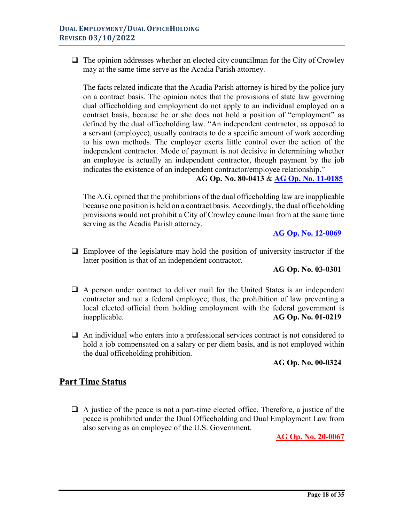$\Box$  The opinion addresses whether an elected city councilman for the City of Crowley may at the same time serve as the Acadia Parish attorney.

The facts related indicate that the Acadia Parish attorney is hired by the police jury on a contract basis. The opinion notes that the provisions of state law governing dual officeholding and employment do not apply to an individual employed on a contract basis, because he or she does not hold a position of "employment" as defined by the dual officeholding law. "An independent contractor, as opposed to a servant (employee), usually contracts to do a specific amount of work according to his own methods. The employer exerts little control over the action of the independent contractor. Mode of payment is not decisive in determining whether an employee is actually an independent contractor, though payment by the job indicates the existence of an independent contractor/employee relationship."

**AG Op. No. 80-0413** & **[AG Op. No. 11-0185](https://links.lla.la.gov/go.nsf/getAGO?OpenAgent&agokey=11-0185)**

The A.G. opined that the prohibitions of the dual officeholding law are inapplicable because one position is held on a contract basis. Accordingly, the dual officeholding provisions would not prohibit a City of Crowley councilman from at the same time serving as the Acadia Parish attorney.

**[AG Op. No. 12-0069](https://links.lla.la.gov/go.nsf/getAGO?OpenAgent&agokey=12-0069)**

 $\Box$  Employee of the legislature may hold the position of university instructor if the latter position is that of an independent contractor.

#### **AG Op. No. 03-0301**

- $\Box$  A person under contract to deliver mail for the United States is an independent contractor and not a federal employee; thus, the prohibition of law preventing a local elected official from holding employment with the federal government is inapplicable. **AG Op. No. 01-0219**
- $\Box$  An individual who enters into a professional services contract is not considered to hold a job compensated on a salary or per diem basis, and is not employed within the dual officeholding prohibition.

#### **AG Op. No. 00-0324**

#### **Part Time Status**

 $\Box$  A justice of the peace is not a part-time elected office. Therefore, a justice of the peace is prohibited under the Dual Officeholding and Dual Employment Law from also serving as an employee of the U.S. Government.

**[AG Op. No. 20-0067](https://links.lla.la.gov/go.nsf/getAGO?OpenAgent&agokey=20-0067)**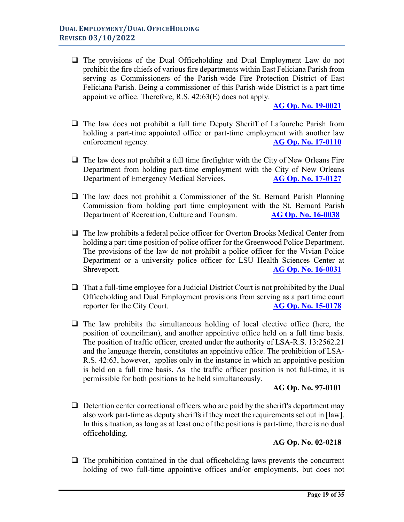$\Box$  The provisions of the Dual Officeholding and Dual Employment Law do not prohibit the fire chiefs of various fire departments within East Feliciana Parish from serving as Commissioners of the Parish-wide Fire Protection District of East Feliciana Parish. Being a commissioner of this Parish-wide District is a part time appointive office. Therefore, R.S. 42:63(E) does not apply.

**[AG Op. No. 19-0021](https://links.lla.la.gov/go.nsf/getAGO?OpenAgent&agokey=19-0021)**

- $\Box$  The law does not prohibit a full time Deputy Sheriff of Lafourche Parish from holding a part-time appointed office or part-time employment with another law enforcement agency. **[AG Op. No. 17-0110](https://links.lla.la.gov/go.nsf/getAGO?OpenAgent&agokey=17-0110)**
- $\Box$  The law does not prohibit a full time firefighter with the City of New Orleans Fire Department from holding part-time employment with the City of New Orleans Department of Emergency Medical Services. **[AG Op. No. 17-0127](https://links.lla.la.gov/go.nsf/getAGO?OpenAgent&agokey=17-0127)**
- $\Box$  The law does not prohibit a Commissioner of the St. Bernard Parish Planning Commission from holding part time employment with the St. Bernard Parish Department of Recreation, Culture and Tourism. **[AG Op. No. 16-0038](https://links.lla.la.gov/go.nsf/getAGO?OpenAgent&agokey=16-0038)**
- $\Box$  The law prohibits a federal police officer for Overton Brooks Medical Center from holding a part time position of police officer for the Greenwood Police Department. The provisions of the law do not prohibit a police officer for the Vivian Police Department or a university police officer for LSU Health Sciences Center at Shreveport. **[AG Op. No. 16-0031](https://links.lla.la.gov/go.nsf/getAGO?OpenAgent&agokey=16-0031)**
- $\Box$  That a full-time employee for a Judicial District Court is not prohibited by the Dual Officeholding and Dual Employment provisions from serving as a part time court reporter for the City Court. **[AG Op. No. 15-0178](https://links.lla.la.gov/go.nsf/getAGO?OpenAgent&agokey=15-0078)**
- $\Box$  The law prohibits the simultaneous holding of local elective office (here, the position of councilman), and another appointive office held on a full time basis. The position of traffic officer, created under the authority of LSA-R.S. 13:2562.21 and the language therein, constitutes an appointive office. The prohibition of LSA-R.S. 42:63, however, applies only in the instance in which an appointive position is held on a full time basis. As the traffic officer position is not full-time, it is permissible for both positions to be held simultaneously.

#### **AG Op. No. 97-0101**

 $\Box$  Detention center correctional officers who are paid by the sheriff's department may also work part-time as deputy sheriffs if they meet the requirements set out in [law]. In this situation, as long as at least one of the positions is part-time, there is no dual officeholding.

#### **AG Op. No. 02-0218**

 $\Box$  The prohibition contained in the dual officeholding laws prevents the concurrent holding of two full-time appointive offices and/or employments, but does not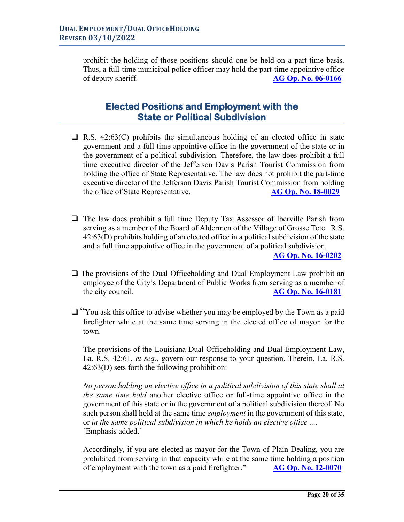prohibit the holding of those positions should one be held on a part-time basis. Thus, a full-time municipal police officer may hold the part-time appointive office of deputy sheriff. **[AG Op. No. 06-0166](https://links.lla.la.gov/go.nsf/getAGO?OpenAgent&agokey=06-0166)**

### **Elected Positions and Employment with the State or Political Subdivision**

- $\Box$  R.S. 42:63(C) prohibits the simultaneous holding of an elected office in state government and a full time appointive office in the government of the state or in the government of a political subdivision. Therefore, the law does prohibit a full time executive director of the Jefferson Davis Parish Tourist Commission from holding the office of State Representative. The law does not prohibit the part-time executive director of the Jefferson Davis Parish Tourist Commission from holding the office of State Representative. **AG Op. No. [18-0029](https://links.lla.la.gov/go.nsf/getAGO?OpenAgent&agokey=18-0029)**
- $\Box$  The law does prohibit a full time Deputy Tax Assessor of Iberville Parish from serving as a member of the Board of Aldermen of the Village of Grosse Tete. R.S. 42:63(D) prohibits holding of an elected office in a political subdivision of the state and a full time appointive office in the government of a political subdivision.

**[AG Op. No. 16-0202](https://links.lla.la.gov/go.nsf/getAGO?OpenAgent&agokey=16-0202)**

- $\Box$  The provisions of the Dual Officeholding and Dual Employment Law prohibit an employee of the City's Department of Public Works from serving as a member of the city council. **[AG Op. No. 16-0181](https://links.lla.la.gov/go.nsf/getAGO?OpenAgent&agokey=16-0181)**
- $\Box$  "You ask this office to advise whether you may be employed by the Town as a paid firefighter while at the same time serving in the elected office of mayor for the town.

The provisions of the Louisiana Dual Officeholding and Dual Employment Law, La. R.S. 42:61, *et seq.*, govern our response to your question. Therein, La. R.S. 42:63(D) sets forth the following prohibition:

*No person holding an elective office in a political subdivision of this state shall at the same time hold* another elective office or full-time appointive office in the government of this state or in the government of a political subdivision thereof. No such person shall hold at the same time *employment* in the government of this state, or *in the same political subdivision in which he holds an elective office* .... [Emphasis added.]

Accordingly, if you are elected as mayor for the Town of Plain Dealing, you are prohibited from serving in that capacity while at the same time holding a position of employment with the town as a paid firefighter." **[AG Op. No. 12-0070](https://links.lla.la.gov/go.nsf/getAGO?OpenAgent&agokey=12-0070)**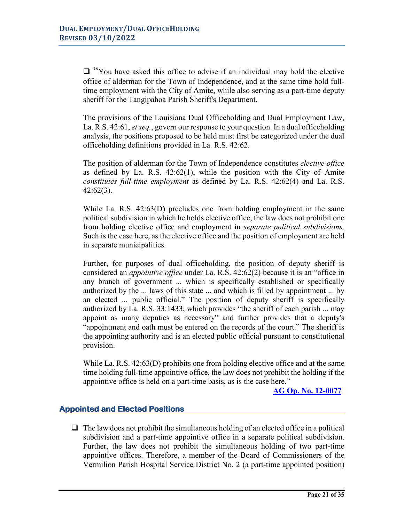$\Box$  "You have asked this office to advise if an individual may hold the elective office of alderman for the Town of Independence, and at the same time hold fulltime employment with the City of Amite, while also serving as a part-time deputy sheriff for the Tangipahoa Parish Sheriff's Department.

The provisions of the Louisiana Dual Officeholding and Dual Employment Law, La. R.S. 42:61, *et seq.*, govern our response to your question. In a dual officeholding analysis, the positions proposed to be held must first be categorized under the dual officeholding definitions provided in La. R.S. 42:62.

The position of alderman for the Town of Independence constitutes *elective office* as defined by La. R.S. 42:62(1), while the position with the City of Amite *constitutes full-time employment* as defined by La. R.S. 42:62(4) and La. R.S.  $42:62(3)$ .

While La. R.S. 42:63(D) precludes one from holding employment in the same political subdivision in which he holds elective office, the law does not prohibit one from holding elective office and employment in *separate political subdivisions*. Such is the case here, as the elective office and the position of employment are held in separate municipalities.

Further, for purposes of dual officeholding, the position of deputy sheriff is considered an *appointive office* under La. R.S. 42:62(2) because it is an "office in any branch of government ... which is specifically established or specifically authorized by the ... laws of this state ... and which is filled by appointment ... by an elected ... public official." The position of deputy sheriff is specifically authorized by La. R.S. 33:1433, which provides "the sheriff of each parish ... may appoint as many deputies as necessary" and further provides that a deputy's "appointment and oath must be entered on the records of the court." The sheriff is the appointing authority and is an elected public official pursuant to constitutional provision.

While La. R.S. 42:63(D) prohibits one from holding elective office and at the same time holding full-time appointive office, the law does not prohibit the holding if the appointive office is held on a part-time basis, as is the case here."

**[AG Op. No. 12-0077](https://links.lla.la.gov/go.nsf/getAGO?OpenAgent&agokey=12-0077)**

#### **Appointed and Elected Positions**

 $\Box$  The law does not prohibit the simultaneous holding of an elected office in a political subdivision and a part-time appointive office in a separate political subdivision. Further, the law does not prohibit the simultaneous holding of two part-time appointive offices. Therefore, a member of the Board of Commissioners of the Vermilion Parish Hospital Service District No. 2 (a part-time appointed position)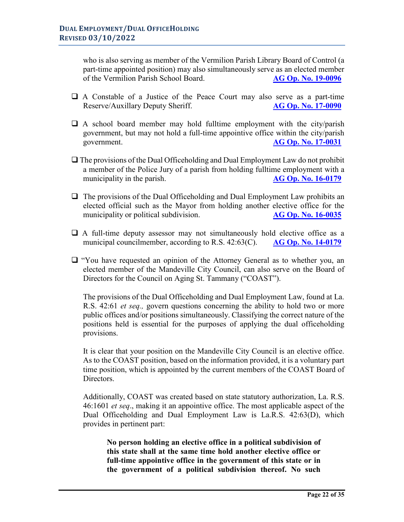who is also serving as member of the Vermilion Parish Library Board of Control (a part-time appointed position) may also simultaneously serve as an elected member of the Vermilion Parish School Board. **[AG Op. No. 19-0096](https://links.lla.la.gov/go.nsf/getAGO?OpenAgent&agokey=19-0096)**

- $\Box$  A Constable of a Justice of the Peace Court may also serve as a part-time Reserve/Auxillary Deputy Sheriff. **[AG Op. No. 17-0090](https://links.lla.la.gov/go.nsf/getAGO?OpenAgent&agokey=17-0090)**
- $\Box$  A school board member may hold fulltime employment with the city/parish government, but may not hold a full-time appointive office within the city/parish government. **[AG Op. No. 17-0031](https://links.lla.la.gov/go.nsf/getAGO?OpenAgent&agokey=17-0031)**
- $\Box$  The provisions of the Dual Officeholding and Dual Employment Law do not prohibit a member of the Police Jury of a parish from holding fulltime employment with a municipality in the parish. **[AG Op. No. 16-0179](https://links.lla.la.gov/go.nsf/getAGO?OpenAgent&agokey=16-0179)**
- $\Box$  The provisions of the Dual Officeholding and Dual Employment Law prohibits an elected official such as the Mayor from holding another elective office for the municipality or political subdivision. **[AG Op. No. 16-0035](https://links.lla.la.gov/go.nsf/getAGO?OpenAgent&agokey=16-0035)**
- $\Box$  A full-time deputy assessor may not simultaneously hold elective office as a municipal councilmember, according to R.S. 42:63(C). **[AG Op. No. 14-0179](https://links.lla.la.gov/go.nsf/getAGO?OpenAgent&agokey=14-0179)**
- "You have requested an opinion of the Attorney General as to whether you, an elected member of the Mandeville City Council, can also serve on the Board of Directors for the Council on Aging St. Tammany ("COAST").

The provisions of the Dual Officeholding and Dual Employment Law, found at La. R.S. 42:61 *et seq.,* govern questions concerning the ability to hold two or more public offices and/or positions simultaneously. Classifying the correct nature of the positions held is essential for the purposes of applying the dual officeholding provisions.

It is clear that your position on the Mandeville City Council is an elective office. As to the COAST position, based on the information provided, it is a voluntary part time position, which is appointed by the current members of the COAST Board of Directors.

Additionally, COAST was created based on state statutory authorization, La. R.S. 46:1601 *et seq*., making it an appointive office. The most applicable aspect of the Dual Officeholding and Dual Employment Law is La.R.S. 42:63(D), which provides in pertinent part:

**No person holding an elective office in a political subdivision of this state shall at the same time hold another elective office or full-time appointive office in the government of this state or in the government of a political subdivision thereof. No such**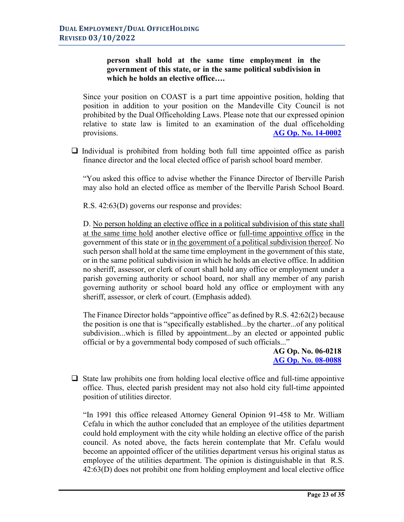#### **person shall hold at the same time employment in the government of this state, or in the same political subdivision in which he holds an elective office….**

Since your position on COAST is a part time appointive position, holding that position in addition to your position on the Mandeville City Council is not prohibited by the Dual Officeholding Laws. Please note that our expressed opinion relative to state law is limited to an examination of the dual officeholding provisions. **[AG Op. No. 14-0002](https://links.lla.la.gov/go.nsf/getAGO?OpenAgent&agokey=14-0002)**

 $\Box$  Individual is prohibited from holding both full time appointed office as parish finance director and the local elected office of parish school board member.

"You asked this office to advise whether the Finance Director of Iberville Parish may also hold an elected office as member of the Iberville Parish School Board.

R.S. 42:63(D) governs our response and provides:

D. No person holding an elective office in a political subdivision of this state shall at the same time hold another elective office or full-time appointive office in the government of this state or in the government of a political subdivision thereof. No such person shall hold at the same time employment in the government of this state, or in the same political subdivision in which he holds an elective office. In addition no sheriff, assessor, or clerk of court shall hold any office or employment under a parish governing authority or school board, nor shall any member of any parish governing authority or school board hold any office or employment with any sheriff, assessor, or clerk of court. (Emphasis added).

The Finance Director holds "appointive office" as defined by R.S. 42:62(2) because the position is one that is "specifically established...by the charter...of any political subdivision...which is filled by appointment...by an elected or appointed public official or by a governmental body composed of such officials..."

> **AG Op. No. 06-0218 [AG Op. No. 08-0088](https://links.lla.la.gov/go.nsf/getAGO?OpenAgent&agokey=08-0088)**

 $\Box$  State law prohibits one from holding local elective office and full-time appointive office. Thus, elected parish president may not also hold city full-time appointed position of utilities director.

"In 1991 this office released Attorney General Opinion 91-458 to Mr. William Cefalu in which the author concluded that an employee of the utilities department could hold employment with the city while holding an elective office of the parish council. As noted above, the facts herein contemplate that Mr. Cefalu would become an appointed officer of the utilities department versus his original status as employee of the utilities department. The opinion is distinguishable in that R.S. 42:63(D) does not prohibit one from holding employment and local elective office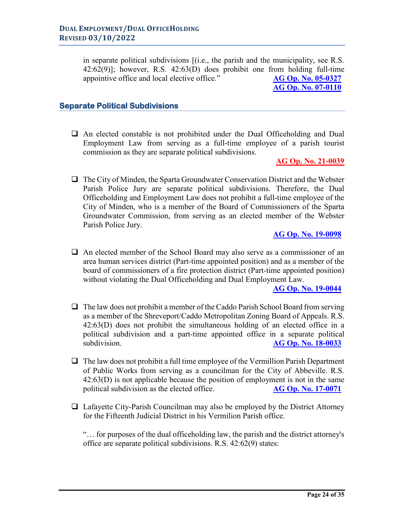in separate political subdivisions [(i.e., the parish and the municipality, see R.S. 42:62(9)]; however, R.S. 42:63(D) does prohibit one from holding full-time appointive office and local elective office."  $AG$  Op. No. 05-0327 appointive office and local elective office."

**[AG Op. No. 07-0110](https://links.lla.la.gov/go.nsf/getAGO?OpenAgent&agokey=07-0110)**

#### **Separate Political Subdivisions**

 $\Box$  An elected constable is not prohibited under the Dual Officeholding and Dual Employment Law from serving as a full-time employee of a parish tourist commission as they are separate political subdivisions.

**[AG Op. No. 21-0039](https://links.lla.la.gov/go.nsf/getAGO?OpenAgent&agokey=21-0039)**

 $\Box$  The City of Minden, the Sparta Groundwater Conservation District and the Webster Parish Police Jury are separate political subdivisions. Therefore, the Dual Officeholding and Employment Law does not prohibit a full-time employee of the City of Minden, who is a member of the Board of Commissioners of the Sparta Groundwater Commission, from serving as an elected member of the Webster Parish Police Jury.

**[AG Op. No. 19-0098](https://links.lla.la.gov/go.nsf/getAGO?OpenAgent&agokey=19-0098)**

 An elected member of the School Board may also serve as a commissioner of an area human services district (Part-time appointed position) and as a member of the board of commissioners of a fire protection district (Part-time appointed position) without violating the Dual Officeholding and Dual Employment Law.

**[AG Op. No. 19-0044](https://links.lla.la.gov/go.nsf/getAGO?OpenAgent&agokey=19-0044)**

- $\Box$  The law does not prohibit a member of the Caddo Parish School Board from serving as a member of the Shreveport/Caddo Metropolitan Zoning Board of Appeals. R.S. 42:63(D) does not prohibit the simultaneous holding of an elected office in a political subdivision and a part-time appointed office in a separate political subdivision. **[AG Op. No. 18-0033](https://links.lla.la.gov/go.nsf/getAGO?OpenAgent&agokey=18-0033)**
- $\Box$  The law does not prohibit a full time employee of the Vermillion Parish Department of Public Works from serving as a councilman for the City of Abbeville. R.S. 42:63(D) is not applicable because the position of employment is not in the same political subdivision as the elected office. **AG Op. No. [17-0071](https://links.lla.la.gov/go.nsf/getAGO?OpenAgent&agokey=17-0071)**
- $\Box$  Lafayette City-Parish Councilman may also be employed by the District Attorney for the Fifteenth Judicial District in his Vermilion Parish office.

"… for purposes of the dual officeholding law, the parish and the district attorney's office are separate political subdivisions. R.S. 42:62(9) states: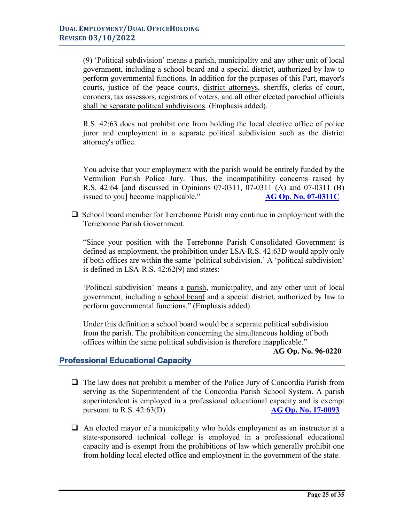(9) 'Political subdivision' means a parish, municipality and any other unit of local government, including a school board and a special district, authorized by law to perform governmental functions. In addition for the purposes of this Part, mayor's courts, justice of the peace courts, district attorneys, sheriffs, clerks of court, coroners, tax assessors, registrars of voters, and all other elected parochial officials shall be separate political subdivisions. (Emphasis added).

R.S. 42:63 does not prohibit one from holding the local elective office of police juror and employment in a separate political subdivision such as the district attorney's office.

You advise that your employment with the parish would be entirely funded by the Vermilion Parish Police Jury. Thus, the incompatibility concerns raised by R.S. 42:64 [and discussed in Opinions 07-0311, 07-0311 (A) and 07-0311 (B) issued to you] become inapplicable." **AG [Op. No. 07-0311C](https://links.lla.la.gov/go.nsf/getAGO?OpenAgent&agokey=07-0311C)**

 $\Box$  School board member for Terrebonne Parish may continue in employment with the Terrebonne Parish Government.

"Since your position with the Terrebonne Parish Consolidated Government is defined as employment, the prohibition under LSA-R.S. 42:63D would apply only if both offices are within the same 'political subdivision.' A 'political subdivision' is defined in LSA-R.S. 42:62(9) and states:

'Political subdivision' means a parish, municipality, and any other unit of local government, including a school board and a special district, authorized by law to perform governmental functions." (Emphasis added).

Under this definition a school board would be a separate political subdivision from the parish. The prohibition concerning the simultaneous holding of both offices within the same political subdivision is therefore inapplicable."

#### **AG Op. No. 96-0220**

#### **Professional Educational Capacity**

- $\Box$  The law does not prohibit a member of the Police Jury of Concordia Parish from serving as the Superintendent of the Concordia Parish School System. A parish superintendent is employed in a professional educational capacity and is exempt pursuant to R.S. 42:63(D). **AG Op. No. [17-0093](https://links.lla.la.gov/go.nsf/getAGO?OpenAgent&agokey=17-0093)**
- $\Box$  An elected mayor of a municipality who holds employment as an instructor at a state-sponsored technical college is employed in a professional educational capacity and is exempt from the prohibitions of law which generally prohibit one from holding local elected office and employment in the government of the state.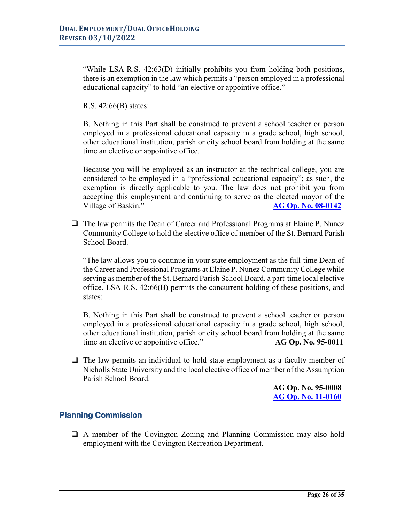"While LSA-R.S. 42:63(D) initially prohibits you from holding both positions, there is an exemption in the law which permits a "person employed in a professional educational capacity" to hold "an elective or appointive office."

R.S. 42:66(B) states:

B. Nothing in this Part shall be construed to prevent a school teacher or person employed in a professional educational capacity in a grade school, high school, other educational institution, parish or city school board from holding at the same time an elective or appointive office.

Because you will be employed as an instructor at the technical college, you are considered to be employed in a "professional educational capacity"; as such, the exemption is directly applicable to you. The law does not prohibit you from accepting this employment and continuing to serve as the elected mayor of the Village of Baskin." **[AG Op. No. 08-0142](https://links.lla.la.gov/go.nsf/getAGO?OpenAgent&agokey=08-0142)**

 $\Box$  The law permits the Dean of Career and Professional Programs at Elaine P. Nunez Community College to hold the elective office of member of the St. Bernard Parish School Board.

"The law allows you to continue in your state employment as the full-time Dean of the Career and Professional Programs at Elaine P. Nunez Community College while serving as member of the St. Bernard Parish School Board, a part-time local elective office. LSA-R.S. 42:66(B) permits the concurrent holding of these positions, and states:

B. Nothing in this Part shall be construed to prevent a school teacher or person employed in a professional educational capacity in a grade school, high school, other educational institution, parish or city school board from holding at the same time an elective or appointive office." **AG Op. No. 95-0011**

 $\Box$  The law permits an individual to hold state employment as a faculty member of Nicholls State University and the local elective office of member of the Assumption Parish School Board.

> **AG Op. No. 95-0008 [AG Op. No. 11-0160](https://links.lla.la.gov/go.nsf/getAGO?OpenAgent&agokey=11-0160)**

#### **Planning Commission**

 A member of the Covington Zoning and Planning Commission may also hold employment with the Covington Recreation Department.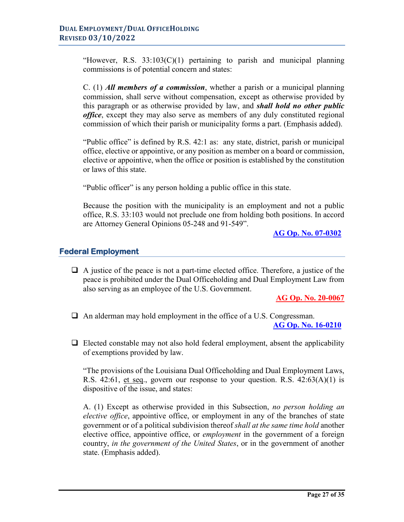"However, R.S.  $33:103(C)(1)$  pertaining to parish and municipal planning commissions is of potential concern and states:

C. (1) *All members of a commission*, whether a parish or a municipal planning commission, shall serve without compensation, except as otherwise provided by this paragraph or as otherwise provided by law, and *shall hold no other public office*, except they may also serve as members of any duly constituted regional commission of which their parish or municipality forms a part. (Emphasis added).

"Public office" is defined by R.S. 42:1 as: any state, district, parish or municipal office, elective or appointive, or any position as member on a board or commission, elective or appointive, when the office or position is established by the constitution or laws of this state.

"Public officer" is any person holding a public office in this state.

Because the position with the municipality is an employment and not a public office, R.S. 33:103 would not preclude one from holding both positions. In accord are Attorney General Opinions 05-248 and 91-549".

**[AG Op. No. 07-0302](https://links.lla.la.gov/go.nsf/getAGO?OpenAgent&agokey=07-0302)**

#### **Federal Employment**

 $\Box$  A justice of the peace is not a part-time elected office. Therefore, a justice of the peace is prohibited under the Dual Officeholding and Dual Employment Law from also serving as an employee of the U.S. Government.

**[AG Op. No. 20-0067](https://links.lla.la.gov/go.nsf/getAGO?OpenAgent&agokey=20-0067)**

- $\Box$  An alderman may hold employment in the office of a U.S. Congressman. **[AG Op. No. 16-0210](https://links.lla.la.gov/go.nsf/getAGO?OpenAgent&agokey=16-0210)**
- $\Box$  Elected constable may not also hold federal employment, absent the applicability of exemptions provided by law.

"The provisions of the Louisiana Dual Officeholding and Dual Employment Laws, R.S.  $42:61$ , et seq., govern our response to your question. R.S.  $42:63(A)(1)$  is dispositive of the issue, and states:

A. (1) Except as otherwise provided in this Subsection, *no person holding an elective office*, appointive office, or employment in any of the branches of state government or of a political subdivision thereof *shall at the same time hold* another elective office, appointive office, or *employment* in the government of a foreign country, *in the government of the United States*, or in the government of another state. (Emphasis added).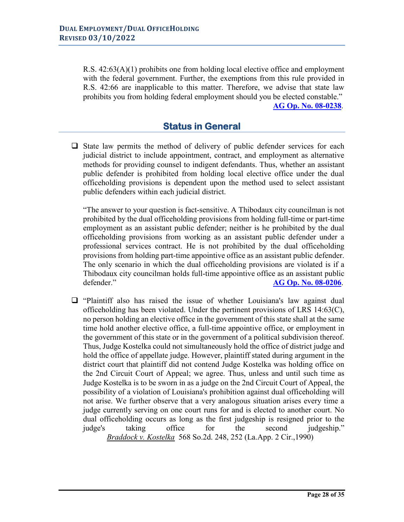R.S. 42:63(A)(1) prohibits one from holding local elective office and employment with the federal government. Further, the exemptions from this rule provided in R.S. 42:66 are inapplicable to this matter. Therefore, we advise that state law prohibits you from holding federal employment should you be elected constable." **[AG Op. No. 08-0238](https://links.lla.la.gov/go.nsf/getAGO?OpenAgent&agokey=08-0238)**.

### **Status in General**

 $\Box$  State law permits the method of delivery of public defender services for each judicial district to include appointment, contract, and employment as alternative methods for providing counsel to indigent defendants. Thus, whether an assistant public defender is prohibited from holding local elective office under the dual officeholding provisions is dependent upon the method used to select assistant public defenders within each judicial district.

"The answer to your question is fact-sensitive. A Thibodaux city councilman is not prohibited by the dual officeholding provisions from holding full-time or part-time employment as an assistant public defender; neither is he prohibited by the dual officeholding provisions from working as an assistant public defender under a professional services contract. He is not prohibited by the dual officeholding provisions from holding part-time appointive office as an assistant public defender. The only scenario in which the dual officeholding provisions are violated is if a Thibodaux city councilman holds full-time appointive office as an assistant public defender." **AG [Op. No. 08-0206](https://links.lla.la.gov/go.nsf/getAGO?OpenAgent&agokey=08-0206)**.

 $\Box$  "Plaintiff also has raised the issue of whether Louisiana's law against dual officeholding has been violated. Under the pertinent provisions of LRS 14:63(C), no person holding an elective office in the government of this state shall at the same time hold another elective office, a full-time appointive office, or employment in the government of this state or in the government of a political subdivision thereof. Thus, Judge Kostelka could not simultaneously hold the office of district judge and hold the office of appellate judge. However, plaintiff stated during argument in the district court that plaintiff did not contend Judge Kostelka was holding office on the 2nd Circuit Court of Appeal; we agree. Thus, unless and until such time as Judge Kostelka is to be sworn in as a judge on the 2nd Circuit Court of Appeal, the possibility of a violation of Louisiana's prohibition against dual officeholding will not arise. We further observe that a very analogous situation arises every time a judge currently serving on one court runs for and is elected to another court. No dual officeholding occurs as long as the first judgeship is resigned prior to the judge's taking office for the second judgeship." *Braddock v. Kostelka* 568 So.2d. 248, 252 (La.App. 2 Cir.,1990)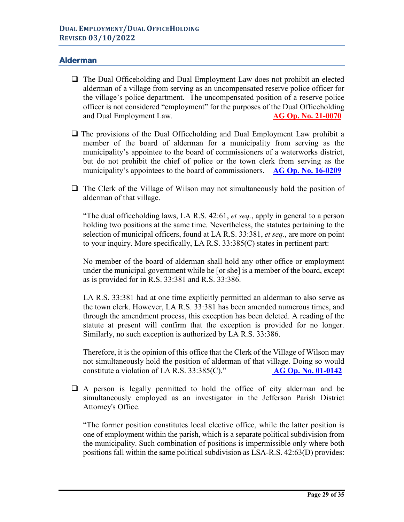#### **Alderman**

- The Dual Officeholding and Dual Employment Law does not prohibit an elected alderman of a village from serving as an uncompensated reserve police officer for the village's police department. The uncompensated position of a reserve police officer is not considered "employment" for the purposes of the Dual Officeholding and Dual Employment Law. **[AG Op. No. 21-0070](https://links.lla.la.gov/go.nsf/getAGO?OpenAgent&agokey=21-0070)**
- $\Box$  The provisions of the Dual Officeholding and Dual Employment Law prohibit a member of the board of alderman for a municipality from serving as the municipality's appointee to the board of commissioners of a waterworks district, but do not prohibit the chief of police or the town clerk from serving as the municipality's appointees to the board of commissioners. **[AG Op. No. 16-0209](https://links.lla.la.gov/go.nsf/getAGO?OpenAgent&agokey=16-0209)**
- $\Box$  The Clerk of the Village of Wilson may not simultaneously hold the position of alderman of that village.

"The dual officeholding laws, LA R.S. 42:61, *et seq.*, apply in general to a person holding two positions at the same time. Nevertheless, the statutes pertaining to the selection of municipal officers, found at LA R.S. 33:381, *et seq.*, are more on point to your inquiry. More specifically, LA R.S. 33:385(C) states in pertinent part:

No member of the board of alderman shall hold any other office or employment under the municipal government while he [or she] is a member of the board, except as is provided for in R.S. 33:381 and R.S. 33:386.

LA R.S. 33:381 had at one time explicitly permitted an alderman to also serve as the town clerk. However, LA R.S. 33:381 has been amended numerous times, and through the amendment process, this exception has been deleted. A reading of the statute at present will confirm that the exception is provided for no longer. Similarly, no such exception is authorized by LA R.S. 33:386.

Therefore, it is the opinion of this office that the Clerk of the Village of Wilson may not simultaneously hold the position of alderman of that village. Doing so would constitute a violation of LA R.S. 33:385(C)." **AG [Op. No. 01-0142](https://links.lla.la.gov/go.nsf/getAGO?OpenAgent&agokey=01-0142)**

 $\Box$  A person is legally permitted to hold the office of city alderman and be simultaneously employed as an investigator in the Jefferson Parish District Attorney's Office.

"The former position constitutes local elective office, while the latter position is one of employment within the parish, which is a separate political subdivision from the municipality. Such combination of positions is impermissible only where both positions fall within the same political subdivision as LSA-R.S. 42:63(D) provides: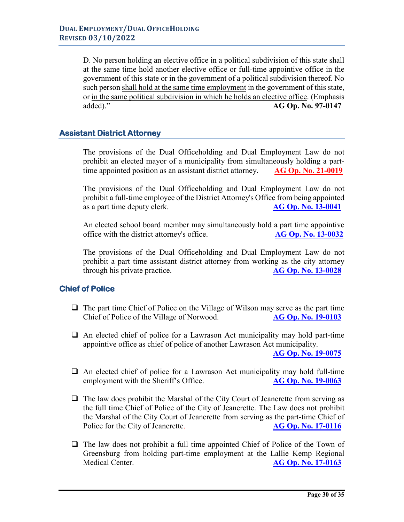D. No person holding an elective office in a political subdivision of this state shall at the same time hold another elective office or full-time appointive office in the government of this state or in the government of a political subdivision thereof. No such person shall hold at the same time employment in the government of this state, or in the same political subdivision in which he holds an elective office. (Emphasis added)." **AG Op. No. 97-0147**

#### **Assistant District Attorney**

The provisions of the Dual Officeholding and Dual Employment Law do not prohibit an elected mayor of a municipality from simultaneously holding a parttime appointed position as an assistant district attorney. **[AG Op. No. 21-0019](https://links.lla.la.gov/go.nsf/getAGO?OpenAgent&agokey=21-0019)**

The provisions of the Dual Officeholding and Dual Employment Law do not prohibit a full-time employee of the District Attorney's Office from being appointed as a part time deputy clerk. **[AG Op. No. 13-0041](https://links.lla.la.gov/go.nsf/getAGO?OpenAgent&agokey=13-0041)**

An elected school board member may simultaneously hold a part time appointive office with the district attorney's office. **[AG Op. No. 13-0032](https://links.lla.la.gov/go.nsf/getAGO?OpenAgent&agokey=13-0032)**

The provisions of the Dual Officeholding and Dual Employment Law do not prohibit a part time assistant district attorney from working as the city attorney through his private practice. **[AG Op. No. 13-0028](https://links.lla.la.gov/go.nsf/getAGO?OpenAgent&agokey=13-0028)**

#### **Chief of Police**

- $\Box$  The part time Chief of Police on the Village of Wilson may serve as the part time Chief of Police of the Village of Norwood. **[AG Op. No. 19-0103](https://links.lla.la.gov/go.nsf/getAGO?OpenAgent&agokey=19-0103)**
- $\Box$  An elected chief of police for a Lawrason Act municipality may hold part-time appointive office as chief of police of another Lawrason Act municipality.

**[AG Op. No. 19-0075](https://links.lla.la.gov/go.nsf/getAGO?OpenAgent&agokey=19-0075)**

- $\Box$  An elected chief of police for a Lawrason Act municipality may hold full-time employment with the Sheriff's Office. **[AG Op. No. 19-0063](https://links.lla.la.gov/go.nsf/getAGO?OpenAgent&agokey=19-0063)**
- $\Box$  The law does prohibit the Marshal of the City Court of Jeanerette from serving as the full time Chief of Police of the City of Jeanerette. The Law does not prohibit the Marshal of the City Court of Jeanerette from serving as the part-time Chief of Police for the City of Jeanerette. **[AG Op. No. 17-0116](https://links.lla.la.gov/go.nsf/getAGO?OpenAgent&agokey=17-0116)**
- $\Box$  The law does not prohibit a full time appointed Chief of Police of the Town of Greensburg from holding part-time employment at the Lallie Kemp Regional Medical Center. **[AG Op. No. 17-0163](https://links.lla.la.gov/go.nsf/getAGO?OpenAgent&agokey=17-0163)**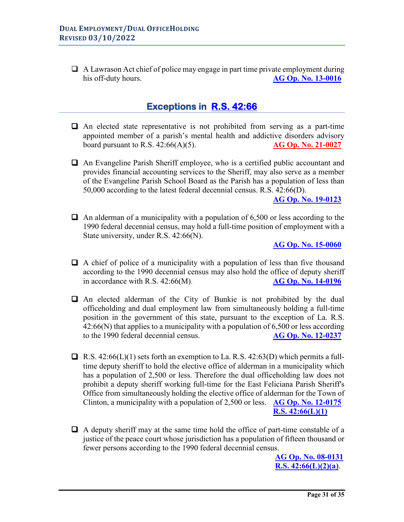$\Box$  A Lawrason Act chief of police may engage in part time private employment during his off-duty hours. **[AG Op. No. 13-0016](https://links.lla.la.gov/go.nsf/getAGO?OpenAgent&agokey=13-0016)** 

# **Exceptions in [R.S. 42:66](http://www.legis.la.gov/Legis/Law.aspx?d=99500)**

- $\Box$  An elected state representative is not prohibited from serving as a part-time appointed member of a parish's mental health and addictive disorders advisory board pursuant to R.S. 42:66(A)(5). **[AG Op. No. 21-0027](https://links.lla.la.gov/go.nsf/getAGO?OpenAgent&agokey=21-0027)**
- An Evangeline Parish Sheriff employee, who is a certified public accountant and provides financial accounting services to the Sheriff, may also serve as a member of the Evangeline Parish School Board as the Parish has a population of less than 50,000 according to the latest federal decennial census. R.S. 42:66(D).

**[AG Op. No. 19-0123](https://links.lla.la.gov/go.nsf/getAGO?OpenAgent&agokey=19-0123)**

 $\Box$  An alderman of a municipality with a population of 6,500 or less according to the 1990 federal decennial census, may hold a full-time position of employment with a State university, under R.S. 42:66(N).

**[AG Op. No. 15-0060](https://links.lla.la.gov/go.nsf/getAGO?OpenAgent&agokey=15-0060)**

- $\Box$  A chief of police of a municipality with a population of less than five thousand according to the 1990 decennial census may also hold the office of deputy sheriff in accordance with R.S. 42:66(M). **[AG Op. No. 14-0196](https://links.lla.la.gov/go.nsf/getAGO?OpenAgent&agokey=14-0196)**
- $\Box$  An elected alderman of the City of Bunkie is not prohibited by the dual officeholding and dual employment law from simultaneously holding a full-time position in the government of this state, pursuant to the exception of La. R.S. 42:66(N) that applies to a municipality with a population of 6,500 or less according<br>to the 1990 federal decennial census.<br> $\overline{AG}$  Op. No. 12-0237 to the 1990 federal decennial census.
- R.S.  $42:66(L)(1)$  sets forth an exemption to La. R.S.  $42:63(D)$  which permits a fulltime deputy sheriff to hold the elective office of alderman in a municipality which has a population of 2,500 or less. Therefore the dual officeholding law does not prohibit a deputy sheriff working full-time for the East Feliciana Parish Sheriff's Office from simultaneously holding the elective office of alderman for the Town of Clinton, a municipality with a population of 2,500 or less. **[AG Op. No. 12-0175](https://links.lla.la.gov/go.nsf/getAGO?OpenAgent&agokey=12-0175) [R.S. 42:66\(L\)\(1\)](http://www.legis.la.gov/Legis/Law.aspx?d=99500)**
- $\Box$  A deputy sheriff may at the same time hold the office of part-time constable of a justice of the peace court whose jurisdiction has a population of fifteen thousand or fewer persons according to the 1990 federal decennial census.

 **[AG Op. No. 08-0131](https://links.lla.la.gov/go.nsf/getAGO?OpenAgent&agokey=08-0131) [R.S. 42:66\(L\)\(2\)\(a\)](http://www.legis.la.gov/Legis/Law.aspx?d=99500)**.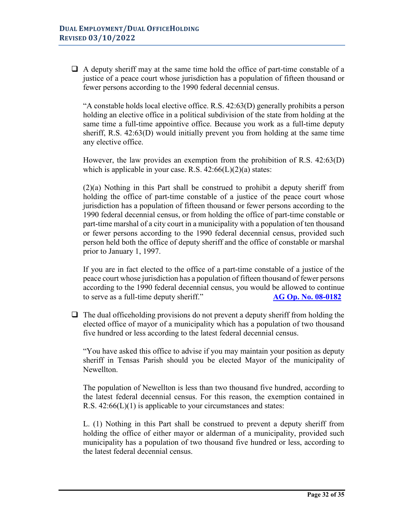$\Box$  A deputy sheriff may at the same time hold the office of part-time constable of a justice of a peace court whose jurisdiction has a population of fifteen thousand or fewer persons according to the 1990 federal decennial census.

"A constable holds local elective office. R.S. 42:63(D) generally prohibits a person holding an elective office in a political subdivision of the state from holding at the same time a full-time appointive office. Because you work as a full-time deputy sheriff, R.S. 42:63(D) would initially prevent you from holding at the same time any elective office.

However, the law provides an exemption from the prohibition of R.S. 42:63(D) which is applicable in your case. R.S.  $42:66(L)(2)(a)$  states:

(2)(a) Nothing in this Part shall be construed to prohibit a deputy sheriff from holding the office of part-time constable of a justice of the peace court whose jurisdiction has a population of fifteen thousand or fewer persons according to the 1990 federal decennial census, or from holding the office of part-time constable or part-time marshal of a city court in a municipality with a population of ten thousand or fewer persons according to the 1990 federal decennial census, provided such person held both the office of deputy sheriff and the office of constable or marshal prior to January 1, 1997.

If you are in fact elected to the office of a part-time constable of a justice of the peace court whose jurisdiction has a population of fifteen thousand of fewer persons according to the 1990 federal decennial census, you would be allowed to continue to serve as a full-time deputy sheriff." **[AG Op. No. 08-0182](https://links.lla.la.gov/go.nsf/getAGO?OpenAgent&agokey=08-0182)**

 $\Box$  The dual officeholding provisions do not prevent a deputy sheriff from holding the elected office of mayor of a municipality which has a population of two thousand five hundred or less according to the latest federal decennial census.

"You have asked this office to advise if you may maintain your position as deputy sheriff in Tensas Parish should you be elected Mayor of the municipality of Newellton.

The population of Newellton is less than two thousand five hundred, according to the latest federal decennial census. For this reason, the exemption contained in R.S. 42:66(L)(1) is applicable to your circumstances and states:

L. (1) Nothing in this Part shall be construed to prevent a deputy sheriff from holding the office of either mayor or alderman of a municipality, provided such municipality has a population of two thousand five hundred or less, according to the latest federal decennial census.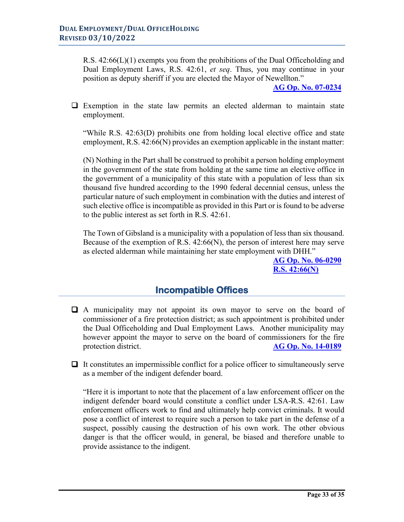R.S. 42:66(L)(1) exempts you from the prohibitions of the Dual Officeholding and Dual Employment Laws, R.S. 42:61, *et seq*. Thus, you may continue in your position as deputy sheriff if you are elected the Mayor of Newellton."

**AG [Op. No. 07-0234](https://links.lla.la.gov/go.nsf/getAGO?OpenAgent&agokey=07-0234)**

 $\Box$  Exemption in the state law permits an elected alderman to maintain state employment.

"While R.S. 42:63(D) prohibits one from holding local elective office and state employment, R.S. 42:66(N) provides an exemption applicable in the instant matter:

(N) Nothing in the Part shall be construed to prohibit a person holding employment in the government of the state from holding at the same time an elective office in the government of a municipality of this state with a population of less than six thousand five hundred according to the 1990 federal decennial census, unless the particular nature of such employment in combination with the duties and interest of such elective office is incompatible as provided in this Part or is found to be adverse to the public interest as set forth in R.S. 42:61.

The Town of Gibsland is a municipality with a population of less than six thousand. Because of the exemption of R.S. 42:66(N), the person of interest here may serve as elected alderman while maintaining her state employment with DHH."

> **[AG Op. No. 06-0290](https://links.lla.la.gov/go.nsf/getAGO?OpenAgent&agokey=06-0290) [R.S. 42:66\(N\)](http://www.legis.la.gov/Legis/Law.aspx?d=99500)**

## **Incompatible Offices**

- A municipality may not appoint its own mayor to serve on the board of commissioner of a fire protection district; as such appointment is prohibited under the Dual Officeholding and Dual Employment Laws. Another municipality may however appoint the mayor to serve on the board of commissioners for the fire protection district. **[AG Op. No. 14-0189](https://links.lla.la.gov/go.nsf/getAGO?OpenAgent&agokey=14-0189)**
- $\Box$  It constitutes an impermissible conflict for a police officer to simultaneously serve as a member of the indigent defender board.

"Here it is important to note that the placement of a law enforcement officer on the indigent defender board would constitute a conflict under LSA-R.S. 42:61. Law enforcement officers work to find and ultimately help convict criminals. It would pose a conflict of interest to require such a person to take part in the defense of a suspect, possibly causing the destruction of his own work. The other obvious danger is that the officer would, in general, be biased and therefore unable to provide assistance to the indigent.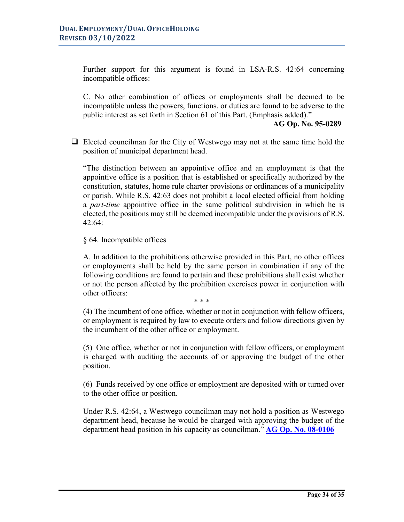Further support for this argument is found in LSA-R.S. 42:64 concerning incompatible offices:

C. No other combination of offices or employments shall be deemed to be incompatible unless the powers, functions, or duties are found to be adverse to the public interest as set forth in Section 61 of this Part. (Emphasis added)."

**AG Op. No. 95-0289**

 $\Box$  Elected councilman for the City of Westwego may not at the same time hold the position of municipal department head.

"The distinction between an appointive office and an employment is that the appointive office is a position that is established or specifically authorized by the constitution, statutes, home rule charter provisions or ordinances of a municipality or parish. While R.S. 42:63 does not prohibit a local elected official from holding a *part-time* appointive office in the same political subdivision in which he is elected, the positions may still be deemed incompatible under the provisions of R.S. 42:64:

§ 64. Incompatible offices

A. In addition to the prohibitions otherwise provided in this Part, no other offices or employments shall be held by the same person in combination if any of the following conditions are found to pertain and these prohibitions shall exist whether or not the person affected by the prohibition exercises power in conjunction with other officers:

\* \* \*

(4) The incumbent of one office, whether or not in conjunction with fellow officers, or employment is required by law to execute orders and follow directions given by the incumbent of the other office or employment.

(5) One office, whether or not in conjunction with fellow officers, or employment is charged with auditing the accounts of or approving the budget of the other position.

(6) Funds received by one office or employment are deposited with or turned over to the other office or position.

Under R.S. 42:64, a Westwego councilman may not hold a position as Westwego department head, because he would be charged with approving the budget of the department head position in his capacity as councilman." **AG [Op. No. 08-0106](https://links.lla.la.gov/go.nsf/getAGO?OpenAgent&agokey=08-0106)**